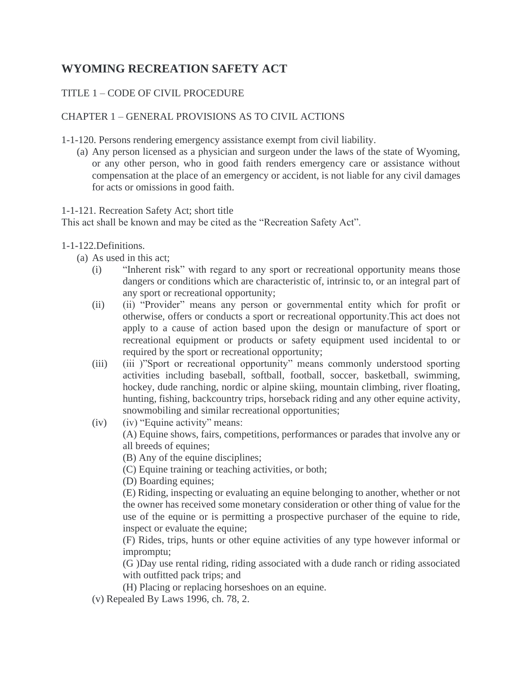## **WYOMING RECREATION SAFETY ACT**

## TITLE 1 – CODE OF CIVIL PROCEDURE

## CHAPTER 1 – GENERAL PROVISIONS AS TO CIVIL ACTIONS

1-1-120. Persons rendering emergency assistance exempt from civil liability.

(a) Any person licensed as a physician and surgeon under the laws of the state of Wyoming, or any other person, who in good faith renders emergency care or assistance without compensation at the place of an emergency or accident, is not liable for any civil damages for acts or omissions in good faith.

1-1-121. Recreation Safety Act; short title

This act shall be known and may be cited as the "Recreation Safety Act".

## 1-1-122.Definitions.

- (a) As used in this act;
	- (i) "Inherent risk" with regard to any sport or recreational opportunity means those dangers or conditions which are characteristic of, intrinsic to, or an integral part of any sport or recreational opportunity;
	- (ii) (ii) "Provider" means any person or governmental entity which for profit or otherwise, offers or conducts a sport or recreational opportunity.This act does not apply to a cause of action based upon the design or manufacture of sport or recreational equipment or products or safety equipment used incidental to or required by the sport or recreational opportunity;
	- (iii) (iii )"Sport or recreational opportunity" means commonly understood sporting activities including baseball, softball, football, soccer, basketball, swimming, hockey, dude ranching, nordic or alpine skiing, mountain climbing, river floating, hunting, fishing, backcountry trips, horseback riding and any other equine activity, snowmobiling and similar recreational opportunities;
	- (iv) (iv) "Equine activity" means:

(A) Equine shows, fairs, competitions, performances or parades that involve any or all breeds of equines;

(B) Any of the equine disciplines;

(C) Equine training or teaching activities, or both;

(D) Boarding equines;

(E) Riding, inspecting or evaluating an equine belonging to another, whether or not the owner has received some monetary consideration or other thing of value for the use of the equine or is permitting a prospective purchaser of the equine to ride, inspect or evaluate the equine;

(F) Rides, trips, hunts or other equine activities of any type however informal or impromptu;

(G )Day use rental riding, riding associated with a dude ranch or riding associated with outfitted pack trips; and

(H) Placing or replacing horseshoes on an equine.

(v) Repealed By Laws 1996, ch. 78, 2.